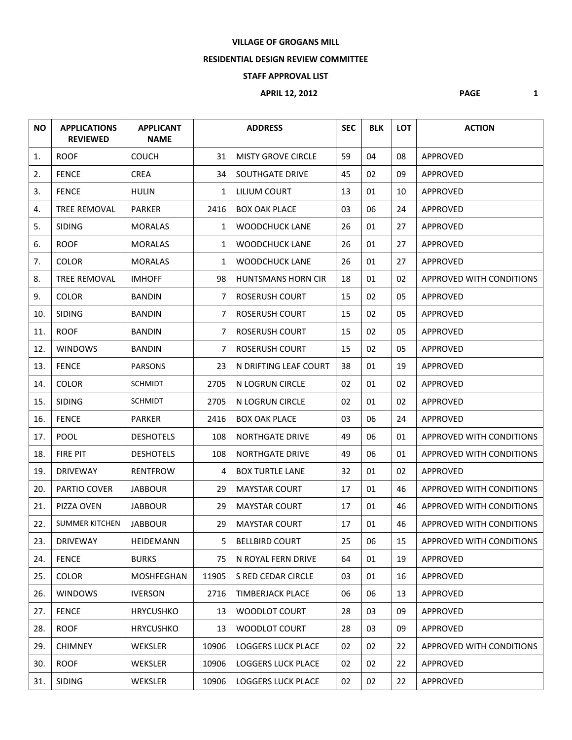#### **VILLAGE OF GROGANS MILL**

#### **RESIDENTIAL DESIGN REVIEW COMMITTEE**

### **STAFF APPROVAL LIST**

# **APRIL 12, 2012 PAGE** 1

| <b>NO</b> | <b>APPLICATIONS</b><br><b>REVIEWED</b> | <b>APPLICANT</b><br><b>NAME</b> |                | <b>ADDRESS</b>            | <b>SEC</b> | <b>BLK</b> | <b>LOT</b> | <b>ACTION</b>                   |
|-----------|----------------------------------------|---------------------------------|----------------|---------------------------|------------|------------|------------|---------------------------------|
| 1.        | <b>ROOF</b>                            | <b>COUCH</b>                    | 31             | <b>MISTY GROVE CIRCLE</b> | 59         | 04         | 08         | APPROVED                        |
| 2.        | <b>FENCE</b>                           | <b>CREA</b>                     | 34             | <b>SOUTHGATE DRIVE</b>    | 45         | 02         | 09         | APPROVED                        |
| 3.        | <b>FENCE</b>                           | <b>HULIN</b>                    | 1              | LILIUM COURT              | 13         | 01         | 10         | APPROVED                        |
| 4.        | TREE REMOVAL                           | <b>PARKER</b>                   | 2416           | <b>BOX OAK PLACE</b>      | 03         | 06         | 24         | APPROVED                        |
| 5.        | <b>SIDING</b>                          | <b>MORALAS</b>                  | $\mathbf{1}$   | <b>WOODCHUCK LANE</b>     | 26         | 01         | 27         | APPROVED                        |
| 6.        | <b>ROOF</b>                            | <b>MORALAS</b>                  | $\mathbf{1}$   | <b>WOODCHUCK LANE</b>     | 26         | 01         | 27         | APPROVED                        |
| 7.        | COLOR                                  | <b>MORALAS</b>                  | 1              | <b>WOODCHUCK LANE</b>     | 26         | 01         | 27         | APPROVED                        |
| 8.        | TREE REMOVAL                           | <b>IMHOFF</b>                   | 98             | <b>HUNTSMANS HORN CIR</b> | 18         | 01         | 02         | APPROVED WITH CONDITIONS        |
| 9.        | <b>COLOR</b>                           | <b>BANDIN</b>                   | $7^{\circ}$    | <b>ROSERUSH COURT</b>     | 15         | 02         | 05         | APPROVED                        |
| 10.       | <b>SIDING</b>                          | <b>BANDIN</b>                   | $7^{\circ}$    | <b>ROSERUSH COURT</b>     | 15         | 02         | 05         | APPROVED                        |
| 11.       | <b>ROOF</b>                            | <b>BANDIN</b>                   | $7^{\circ}$    | ROSERUSH COURT            | 15         | 02         | 05         | APPROVED                        |
| 12.       | <b>WINDOWS</b>                         | <b>BANDIN</b>                   | $\overline{7}$ | <b>ROSERUSH COURT</b>     | 15         | 02         | 05         | <b>APPROVED</b>                 |
| 13.       | <b>FENCE</b>                           | <b>PARSONS</b>                  | 23             | N DRIFTING LEAF COURT     | 38         | 01         | 19         | <b>APPROVED</b>                 |
| 14.       | COLOR                                  | <b>SCHMIDT</b>                  | 2705           | N LOGRUN CIRCLE           | 02         | 01         | 02         | APPROVED                        |
| 15.       | <b>SIDING</b>                          | <b>SCHMIDT</b>                  | 2705           | N LOGRUN CIRCLE           | 02         | 01         | 02         | APPROVED                        |
| 16.       | <b>FENCE</b>                           | <b>PARKER</b>                   | 2416           | <b>BOX OAK PLACE</b>      | 03         | 06         | 24         | APPROVED                        |
| 17.       | <b>POOL</b>                            | <b>DESHOTELS</b>                | 108            | <b>NORTHGATE DRIVE</b>    | 49         | 06         | 01         | APPROVED WITH CONDITIONS        |
| 18.       | <b>FIRE PIT</b>                        | <b>DESHOTELS</b>                | 108            | <b>NORTHGATE DRIVE</b>    | 49         | 06         | 01         | <b>APPROVED WITH CONDITIONS</b> |
| 19.       | <b>DRIVEWAY</b>                        | <b>RENTFROW</b>                 | 4              | <b>BOX TURTLE LANE</b>    | 32         | 01         | 02         | APPROVED                        |
| 20.       | PARTIO COVER                           | <b>JABBOUR</b>                  | 29             | <b>MAYSTAR COURT</b>      | 17         | 01         | 46         | <b>APPROVED WITH CONDITIONS</b> |
| 21.       | PIZZA OVEN                             | <b>JABBOUR</b>                  | 29             | <b>MAYSTAR COURT</b>      | 17         | 01         | 46         | APPROVED WITH CONDITIONS        |
| 22.       | <b>SUMMER KITCHEN</b>                  | <b>JABBOUR</b>                  | 29             | <b>MAYSTAR COURT</b>      | 17         | 01         | 46         | <b>APPROVED WITH CONDITIONS</b> |
| 23.       | <b>DRIVEWAY</b>                        | HEIDEMANN                       | 5              | <b>BELLBIRD COURT</b>     | 25         | 06         | 15         | APPROVED WITH CONDITIONS        |
| 24.       | <b>FENCE</b>                           | <b>BURKS</b>                    | 75             | N ROYAL FERN DRIVE        | 64         | 01         | 19         | APPROVED                        |
| 25.       | COLOR                                  | MOSHFEGHAN                      | 11905          | S RED CEDAR CIRCLE        | 03         | 01         | 16         | APPROVED                        |
| 26.       | <b>WINDOWS</b>                         | <b>IVERSON</b>                  | 2716           | <b>TIMBERJACK PLACE</b>   | 06         | 06         | 13         | APPROVED                        |
| 27.       | <b>FENCE</b>                           | <b>HRYCUSHKO</b>                | 13             | WOODLOT COURT             | 28         | 03         | 09         | APPROVED                        |
| 28.       | <b>ROOF</b>                            | <b>HRYCUSHKO</b>                | 13             | WOODLOT COURT             | 28         | 03         | 09         | APPROVED                        |
| 29.       | <b>CHIMNEY</b>                         | WEKSLER                         | 10906          | <b>LOGGERS LUCK PLACE</b> | 02         | 02         | 22         | APPROVED WITH CONDITIONS        |
| 30.       | <b>ROOF</b>                            | WEKSLER                         | 10906          | <b>LOGGERS LUCK PLACE</b> | 02         | 02         | 22         | APPROVED                        |
| 31.       | <b>SIDING</b>                          | WEKSLER                         | 10906          | <b>LOGGERS LUCK PLACE</b> | 02         | 02         | 22         | APPROVED                        |